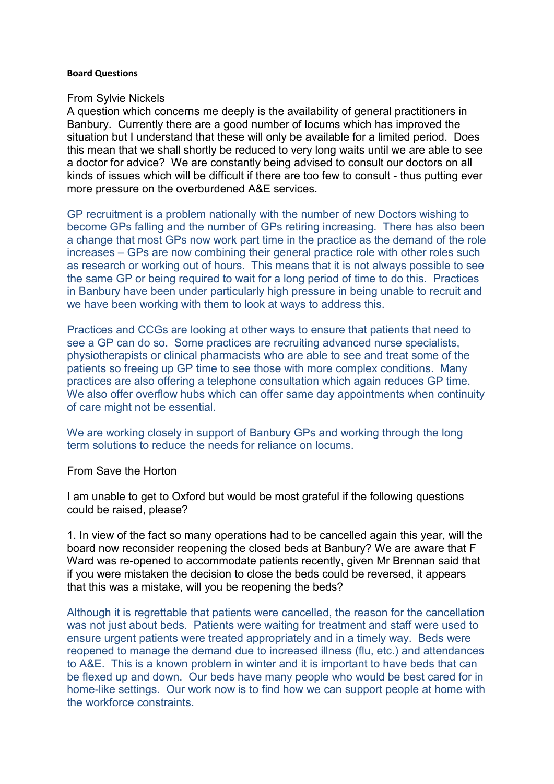## **Board Questions**

## From Sylvie Nickels

A question which concerns me deeply is the availability of general practitioners in Banbury. Currently there are a good number of locums which has improved the situation but I understand that these will only be available for a limited period. Does this mean that we shall shortly be reduced to very long waits until we are able to see a doctor for advice? We are constantly being advised to consult our doctors on all kinds of issues which will be difficult if there are too few to consult - thus putting ever more pressure on the overburdened A&E services.

GP recruitment is a problem nationally with the number of new Doctors wishing to become GPs falling and the number of GPs retiring increasing. There has also been a change that most GPs now work part time in the practice as the demand of the role increases – GPs are now combining their general practice role with other roles such as research or working out of hours. This means that it is not always possible to see the same GP or being required to wait for a long period of time to do this. Practices in Banbury have been under particularly high pressure in being unable to recruit and we have been working with them to look at ways to address this.

Practices and CCGs are looking at other ways to ensure that patients that need to see a GP can do so. Some practices are recruiting advanced nurse specialists, physiotherapists or clinical pharmacists who are able to see and treat some of the patients so freeing up GP time to see those with more complex conditions. Many practices are also offering a telephone consultation which again reduces GP time. We also offer overflow hubs which can offer same day appointments when continuity of care might not be essential.

We are working closely in support of Banbury GPs and working through the long term solutions to reduce the needs for reliance on locums.

From Save the Horton

I am unable to get to Oxford but would be most grateful if the following questions could be raised, please?

1. In view of the fact so many operations had to be cancelled again this year, will the board now reconsider reopening the closed beds at Banbury? We are aware that F Ward was re-opened to accommodate patients recently, given Mr Brennan said that if you were mistaken the decision to close the beds could be reversed, it appears that this was a mistake, will you be reopening the beds?

Although it is regrettable that patients were cancelled, the reason for the cancellation was not just about beds. Patients were waiting for treatment and staff were used to ensure urgent patients were treated appropriately and in a timely way. Beds were reopened to manage the demand due to increased illness (flu, etc.) and attendances to A&E. This is a known problem in winter and it is important to have beds that can be flexed up and down. Our beds have many people who would be best cared for in home-like settings. Our work now is to find how we can support people at home with the workforce constraints.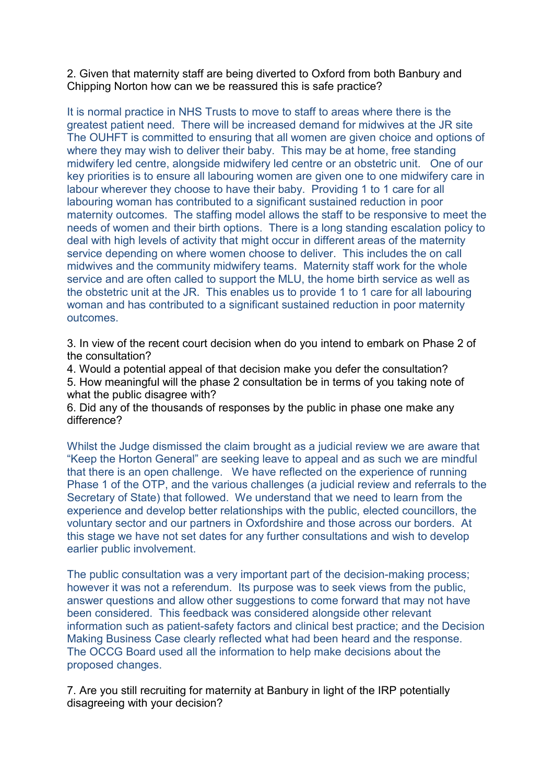2. Given that maternity staff are being diverted to Oxford from both Banbury and Chipping Norton how can we be reassured this is safe practice?

It is normal practice in NHS Trusts to move to staff to areas where there is the greatest patient need. There will be increased demand for midwives at the JR site The OUHFT is committed to ensuring that all women are given choice and options of where they may wish to deliver their baby. This may be at home, free standing midwifery led centre, alongside midwifery led centre or an obstetric unit. One of our key priorities is to ensure all labouring women are given one to one midwifery care in labour wherever they choose to have their baby. Providing 1 to 1 care for all labouring woman has contributed to a significant sustained reduction in poor maternity outcomes. The staffing model allows the staff to be responsive to meet the needs of women and their birth options. There is a long standing escalation policy to deal with high levels of activity that might occur in different areas of the maternity service depending on where women choose to deliver. This includes the on call midwives and the community midwifery teams. Maternity staff work for the whole service and are often called to support the MLU, the home birth service as well as the obstetric unit at the JR. This enables us to provide 1 to 1 care for all labouring woman and has contributed to a significant sustained reduction in poor maternity outcomes.

3. In view of the recent court decision when do you intend to embark on Phase 2 of the consultation?

4. Would a potential appeal of that decision make you defer the consultation? 5. How meaningful will the phase 2 consultation be in terms of you taking note of what the public disagree with?

6. Did any of the thousands of responses by the public in phase one make any difference?

Whilst the Judge dismissed the claim brought as a judicial review we are aware that "Keep the Horton General" are seeking leave to appeal and as such we are mindful that there is an open challenge. We have reflected on the experience of running Phase 1 of the OTP, and the various challenges (a judicial review and referrals to the Secretary of State) that followed. We understand that we need to learn from the experience and develop better relationships with the public, elected councillors, the voluntary sector and our partners in Oxfordshire and those across our borders. At this stage we have not set dates for any further consultations and wish to develop earlier public involvement.

The public consultation was a very important part of the decision-making process; however it was not a referendum. Its purpose was to seek views from the public, answer questions and allow other suggestions to come forward that may not have been considered. This feedback was considered alongside other relevant information such as patient-safety factors and clinical best practice; and the Decision Making Business Case clearly reflected what had been heard and the response. The OCCG Board used all the information to help make decisions about the proposed changes.

7. Are you still recruiting for maternity at Banbury in light of the IRP potentially disagreeing with your decision?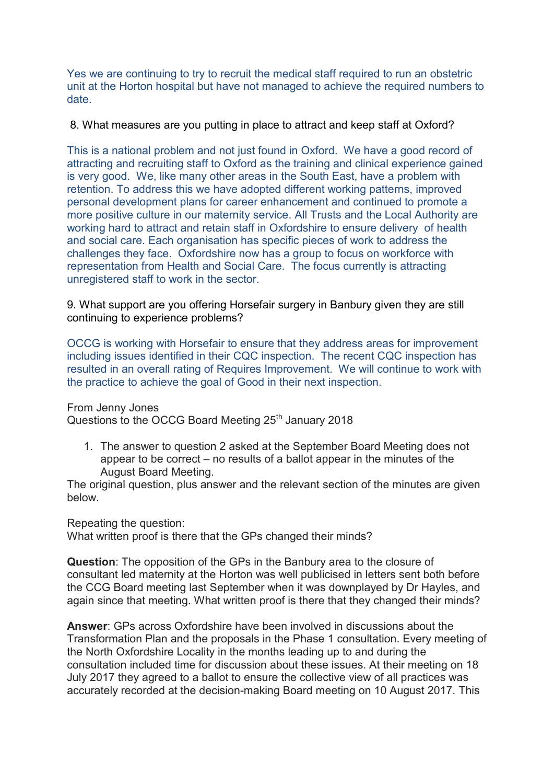Yes we are continuing to try to recruit the medical staff required to run an obstetric unit at the Horton hospital but have not managed to achieve the required numbers to date.

## 8. What measures are you putting in place to attract and keep staff at Oxford?

This is a national problem and not just found in Oxford. We have a good record of attracting and recruiting staff to Oxford as the training and clinical experience gained is very good. We, like many other areas in the South East, have a problem with retention. To address this we have adopted different working patterns, improved personal development plans for career enhancement and continued to promote a more positive culture in our maternity service. All Trusts and the Local Authority are working hard to attract and retain staff in Oxfordshire to ensure delivery of health and social care. Each organisation has specific pieces of work to address the challenges they face. Oxfordshire now has a group to focus on workforce with representation from Health and Social Care. The focus currently is attracting unregistered staff to work in the sector.

9. What support are you offering Horsefair surgery in Banbury given they are still continuing to experience problems?

OCCG is working with Horsefair to ensure that they address areas for improvement including issues identified in their CQC inspection. The recent CQC inspection has resulted in an overall rating of Requires Improvement. We will continue to work with the practice to achieve the goal of Good in their next inspection.

From Jenny Jones

Questions to the OCCG Board Meeting 25<sup>th</sup> January 2018

1. The answer to question 2 asked at the September Board Meeting does not appear to be correct – no results of a ballot appear in the minutes of the August Board Meeting.

The original question, plus answer and the relevant section of the minutes are given below.

Repeating the question: What written proof is there that the GPs changed their minds?

**Question**: The opposition of the GPs in the Banbury area to the closure of consultant led maternity at the Horton was well publicised in letters sent both before the CCG Board meeting last September when it was downplayed by Dr Hayles, and again since that meeting. What written proof is there that they changed their minds?

**Answer**: GPs across Oxfordshire have been involved in discussions about the Transformation Plan and the proposals in the Phase 1 consultation. Every meeting of the North Oxfordshire Locality in the months leading up to and during the consultation included time for discussion about these issues. At their meeting on 18 July 2017 they agreed to a ballot to ensure the collective view of all practices was accurately recorded at the decision-making Board meeting on 10 August 2017. This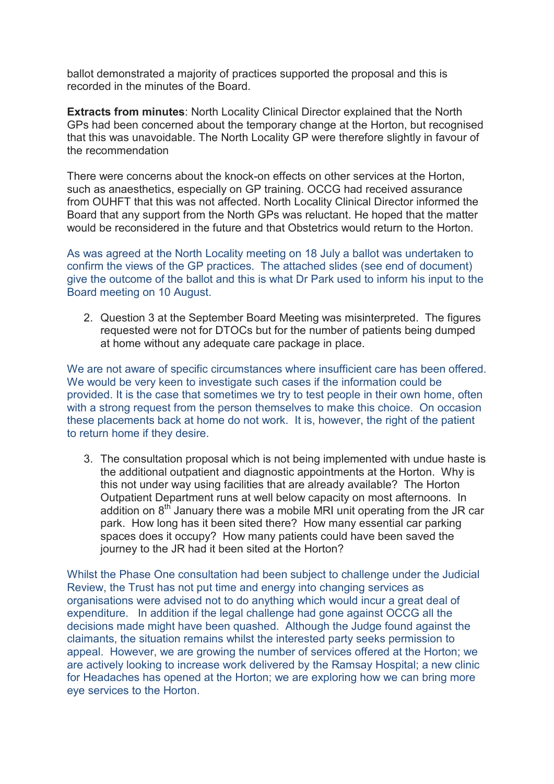ballot demonstrated a majority of practices supported the proposal and this is recorded in the minutes of the Board.

**Extracts from minutes**: North Locality Clinical Director explained that the North GPs had been concerned about the temporary change at the Horton, but recognised that this was unavoidable. The North Locality GP were therefore slightly in favour of the recommendation

There were concerns about the knock-on effects on other services at the Horton, such as anaesthetics, especially on GP training. OCCG had received assurance from OUHFT that this was not affected. North Locality Clinical Director informed the Board that any support from the North GPs was reluctant. He hoped that the matter would be reconsidered in the future and that Obstetrics would return to the Horton.

As was agreed at the North Locality meeting on 18 July a ballot was undertaken to confirm the views of the GP practices. The attached slides (see end of document) give the outcome of the ballot and this is what Dr Park used to inform his input to the Board meeting on 10 August.

2. Question 3 at the September Board Meeting was misinterpreted. The figures requested were not for DTOCs but for the number of patients being dumped at home without any adequate care package in place.

We are not aware of specific circumstances where insufficient care has been offered. We would be very keen to investigate such cases if the information could be provided. It is the case that sometimes we try to test people in their own home, often with a strong request from the person themselves to make this choice. On occasion these placements back at home do not work. It is, however, the right of the patient to return home if they desire.

3. The consultation proposal which is not being implemented with undue haste is the additional outpatient and diagnostic appointments at the Horton. Why is this not under way using facilities that are already available? The Horton Outpatient Department runs at well below capacity on most afternoons. In addition on  $8<sup>th</sup>$  January there was a mobile MRI unit operating from the JR car park. How long has it been sited there? How many essential car parking spaces does it occupy? How many patients could have been saved the journey to the JR had it been sited at the Horton?

Whilst the Phase One consultation had been subject to challenge under the Judicial Review, the Trust has not put time and energy into changing services as organisations were advised not to do anything which would incur a great deal of expenditure. In addition if the legal challenge had gone against OCCG all the decisions made might have been quashed. Although the Judge found against the claimants, the situation remains whilst the interested party seeks permission to appeal. However, we are growing the number of services offered at the Horton; we are actively looking to increase work delivered by the Ramsay Hospital; a new clinic for Headaches has opened at the Horton; we are exploring how we can bring more eye services to the Horton.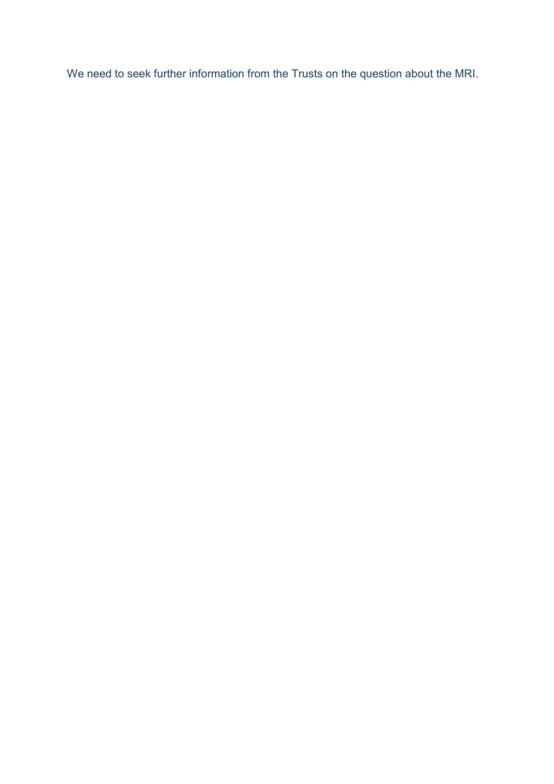We need to seek further information from the Trusts on the question about the MRI.